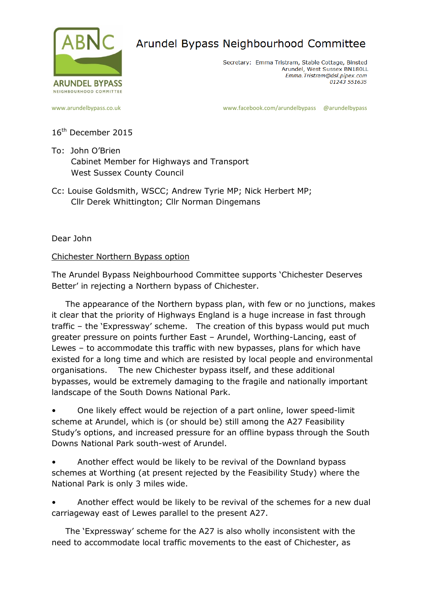

## Arundel Bypass Neighbourhood Committee

Secretary: Emma Tristram, Stable Cottage, Binsted Arundel, West Sussex BN180LL Emma. Tristram@dsl.pipex.com 01243 551635

[www.arundelbypass.co.uk](http://www.arundelbypass.co.uk/) example and the [www.facebook.com/arundelbypass](http://www.facebook.com/arundelbypass) @arundelbypass

16<sup>th</sup> December 2015

- To: John O'Brien Cabinet Member for Highways and Transport West Sussex County Council
- Cc: Louise Goldsmith, WSCC; Andrew Tyrie MP; Nick Herbert MP; Cllr Derek Whittington; Cllr Norman Dingemans

Dear John

## Chichester Northern Bypass option

The Arundel Bypass Neighbourhood Committee supports 'Chichester Deserves Better' in rejecting a Northern bypass of Chichester.

 The appearance of the Northern bypass plan, with few or no junctions, makes it clear that the priority of Highways England is a huge increase in fast through traffic – the 'Expressway' scheme. The creation of this bypass would put much greater pressure on points further East – Arundel, Worthing-Lancing, east of Lewes – to accommodate this traffic with new bypasses, plans for which have existed for a long time and which are resisted by local people and environmental organisations. The new Chichester bypass itself, and these additional bypasses, would be extremely damaging to the fragile and nationally important landscape of the South Downs National Park.

• One likely effect would be rejection of a part online, lower speed-limit scheme at Arundel, which is (or should be) still among the A27 Feasibility Study's options, and increased pressure for an offline bypass through the South Downs National Park south-west of Arundel.

• Another effect would be likely to be revival of the Downland bypass schemes at Worthing (at present rejected by the Feasibility Study) where the National Park is only 3 miles wide.

• Another effect would be likely to be revival of the schemes for a new dual carriageway east of Lewes parallel to the present A27.

 The 'Expressway' scheme for the A27 is also wholly inconsistent with the need to accommodate local traffic movements to the east of Chichester, as